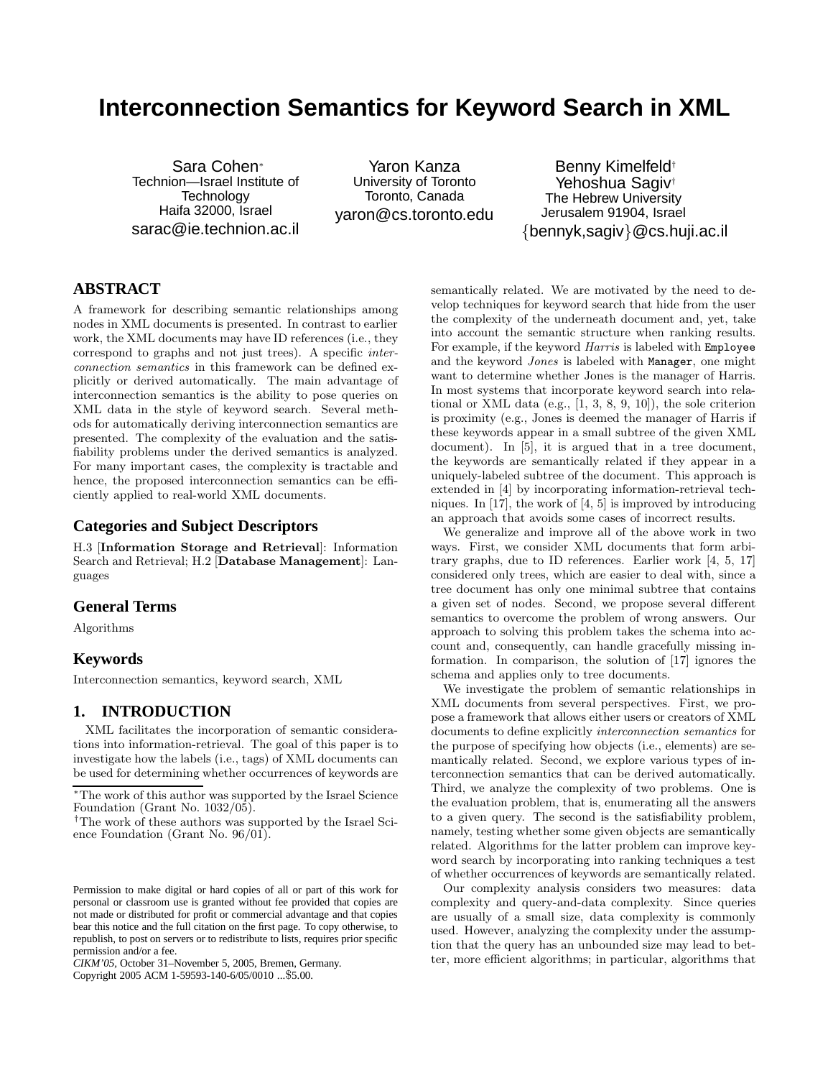# **Interconnection Semantics for Keyword Search in XML**

Sara Cohen<sup>∗</sup> Technion—Israel Institute of **Technology** Haifa 32000, Israel sarac@ie.technion.ac.il

Yaron Kanza University of Toronto Toronto, Canada yaron@cs.toronto.edu

Benny Kimelfeld† Yehoshua Sagiv† The Hebrew University Jerusalem 91904, Israel {bennyk,sagiv}@cs.huji.ac.il

# **ABSTRACT**

A framework for describing semantic relationships among nodes in XML documents is presented. In contrast to earlier work, the XML documents may have ID references (i.e., they correspond to graphs and not just trees). A specific interconnection semantics in this framework can be defined explicitly or derived automatically. The main advantage of interconnection semantics is the ability to pose queries on XML data in the style of keyword search. Several methods for automatically deriving interconnection semantics are presented. The complexity of the evaluation and the satisfiability problems under the derived semantics is analyzed. For many important cases, the complexity is tractable and hence, the proposed interconnection semantics can be efficiently applied to real-world XML documents.

## **Categories and Subject Descriptors**

H.3 [Information Storage and Retrieval]: Information Search and Retrieval; H.2 [Database Management]: Languages

#### **General Terms**

Algorithms

#### **Keywords**

Interconnection semantics, keyword search, XML

## **1. INTRODUCTION**

XML facilitates the incorporation of semantic considerations into information-retrieval. The goal of this paper is to investigate how the labels (i.e., tags) of XML documents can be used for determining whether occurrences of keywords are

Copyright 2005 ACM 1-59593-140-6/05/0010 ...\$5.00.

semantically related. We are motivated by the need to develop techniques for keyword search that hide from the user the complexity of the underneath document and, yet, take into account the semantic structure when ranking results. For example, if the keyword Harris is labeled with Employee and the keyword Jones is labeled with Manager, one might want to determine whether Jones is the manager of Harris. In most systems that incorporate keyword search into relational or XML data (e.g., [1, 3, 8, 9, 10]), the sole criterion is proximity (e.g., Jones is deemed the manager of Harris if these keywords appear in a small subtree of the given XML document). In [5], it is argued that in a tree document, the keywords are semantically related if they appear in a uniquely-labeled subtree of the document. This approach is extended in [4] by incorporating information-retrieval techniques. In [17], the work of [4, 5] is improved by introducing an approach that avoids some cases of incorrect results.

We generalize and improve all of the above work in two ways. First, we consider XML documents that form arbitrary graphs, due to ID references. Earlier work [4, 5, 17] considered only trees, which are easier to deal with, since a tree document has only one minimal subtree that contains a given set of nodes. Second, we propose several different semantics to overcome the problem of wrong answers. Our approach to solving this problem takes the schema into account and, consequently, can handle gracefully missing information. In comparison, the solution of [17] ignores the schema and applies only to tree documents.

We investigate the problem of semantic relationships in XML documents from several perspectives. First, we propose a framework that allows either users or creators of XML documents to define explicitly interconnection semantics for the purpose of specifying how objects (i.e., elements) are semantically related. Second, we explore various types of interconnection semantics that can be derived automatically. Third, we analyze the complexity of two problems. One is the evaluation problem, that is, enumerating all the answers to a given query. The second is the satisfiability problem, namely, testing whether some given objects are semantically related. Algorithms for the latter problem can improve keyword search by incorporating into ranking techniques a test of whether occurrences of keywords are semantically related.

Our complexity analysis considers two measures: data complexity and query-and-data complexity. Since queries are usually of a small size, data complexity is commonly used. However, analyzing the complexity under the assumption that the query has an unbounded size may lead to better, more efficient algorithms; in particular, algorithms that

<sup>∗</sup>The work of this author was supported by the Israel Science Foundation (Grant No. 1032/05).

<sup>†</sup>The work of these authors was supported by the Israel Science Foundation (Grant No. 96/01).

Permission to make digital or hard copies of all or part of this work for personal or classroom use is granted without fee provided that copies are not made or distributed for profit or commercial advantage and that copies bear this notice and the full citation on the first page. To copy otherwise, to republish, to post on servers or to redistribute to lists, requires prior specific permission and/or a fee.

*CIKM'05,* October 31–November 5, 2005, Bremen, Germany.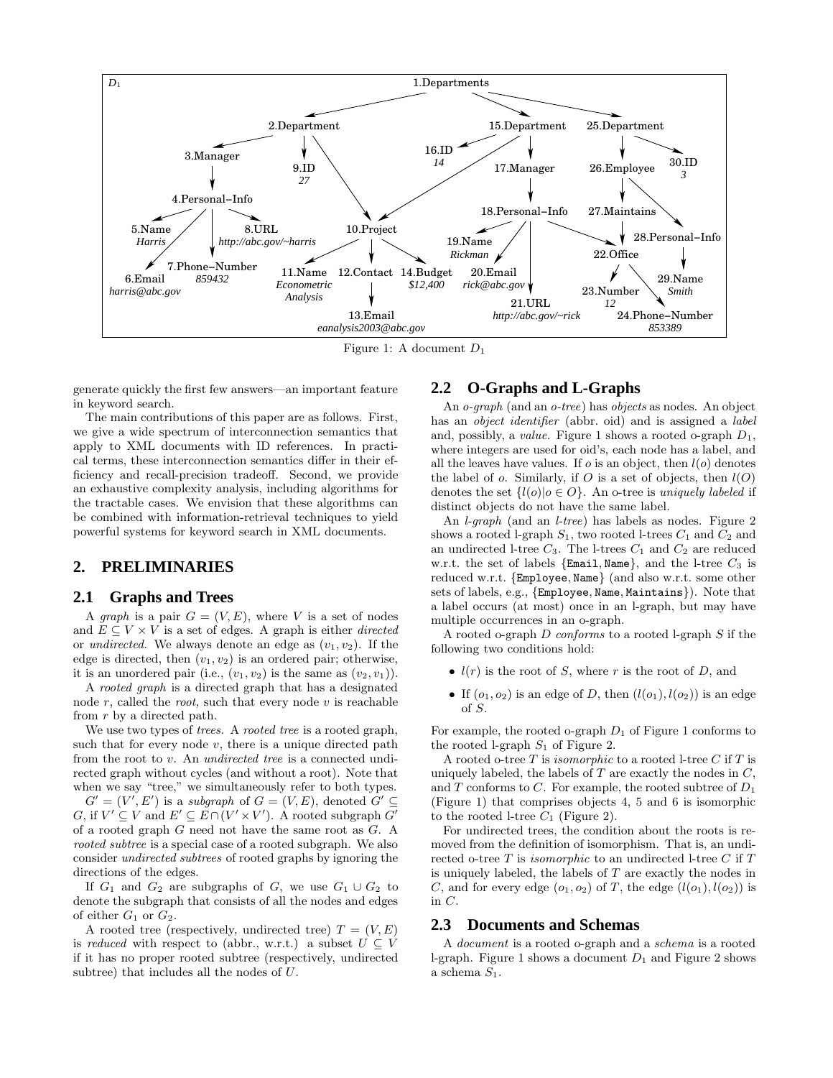

Figure 1: A document  $D_1$ 

generate quickly the first few answers—an important feature in keyword search.

The main contributions of this paper are as follows. First, we give a wide spectrum of interconnection semantics that apply to XML documents with ID references. In practical terms, these interconnection semantics differ in their efficiency and recall-precision tradeoff. Second, we provide an exhaustive complexity analysis, including algorithms for the tractable cases. We envision that these algorithms can be combined with information-retrieval techniques to yield powerful systems for keyword search in XML documents.

#### **2. PRELIMINARIES**

#### **2.1 Graphs and Trees**

A graph is a pair  $G = (V, E)$ , where V is a set of nodes and  $E \subseteq V \times V$  is a set of edges. A graph is either  $directed$ or *undirected*. We always denote an edge as  $(v_1, v_2)$ . If the edge is directed, then  $(v_1, v_2)$  is an ordered pair; otherwise, it is an unordered pair (i.e.,  $(v_1, v_2)$  is the same as  $(v_2, v_1)$ ).

A rooted graph is a directed graph that has a designated node  $r$ , called the *root*, such that every node  $v$  is reachable from r by a directed path.

We use two types of *trees.* A *rooted tree* is a rooted graph, such that for every node  $v$ , there is a unique directed path from the root to v. An undirected tree is a connected undirected graph without cycles (and without a root). Note that when we say "tree," we simultaneously refer to both types.

 $G' = (V', E')$  is a subgraph of  $G = (V, E)$ , denoted  $G' \subseteq$ G, if  $V' \subseteq V$  and  $E' \subseteq E \cap (V' \times V')$ . A rooted subgraph  $G'$ of a rooted graph G need not have the same root as G. A rooted subtree is a special case of a rooted subgraph. We also consider undirected subtrees of rooted graphs by ignoring the directions of the edges.

If  $G_1$  and  $G_2$  are subgraphs of G, we use  $G_1 \cup G_2$  to denote the subgraph that consists of all the nodes and edges of either  $G_1$  or  $G_2$ .

A rooted tree (respectively, undirected tree)  $T = (V, E)$ is *reduced* with respect to (abbr., w.r.t.) a subset  $U \subseteq V$ if it has no proper rooted subtree (respectively, undirected subtree) that includes all the nodes of U.

## **2.2 O-Graphs and L-Graphs**

An o-graph (and an o-tree) has objects as nodes. An object has an *object identifier* (abbr. oid) and is assigned a *label* and, possibly, a *value*. Figure 1 shows a rooted o-graph  $D_1$ , where integers are used for oid's, each node has a label, and all the leaves have values. If  $o$  is an object, then  $l(o)$  denotes the label of  $o$ . Similarly, if  $O$  is a set of objects, then  $l(O)$ denotes the set  $\{l(o)|o \in O\}$ . An o-tree is uniquely labeled if distinct objects do not have the same label.

An l-graph (and an l-tree) has labels as nodes. Figure 2 shows a rooted l-graph  $S_1$ , two rooted l-trees  $C_1$  and  $C_2$  and an undirected l-tree  $C_3$ . The l-trees  $C_1$  and  $C_2$  are reduced w.r.t. the set of labels  ${Email, Name}$ , and the l-tree  $C_3$  is reduced w.r.t. {Employee, Name} (and also w.r.t. some other sets of labels, e.g., {Employee, Name, Maintains}). Note that a label occurs (at most) once in an l-graph, but may have multiple occurrences in an o-graph.

A rooted o-graph D conforms to a rooted l-graph S if the following two conditions hold:

- $l(r)$  is the root of S, where r is the root of D, and
- If  $(o_1, o_2)$  is an edge of D, then  $(l(o_1), l(o_2))$  is an edge of S.

For example, the rooted o-graph  $D_1$  of Figure 1 conforms to the rooted l-graph  $S_1$  of Figure 2.

A rooted o-tree  $T$  is *isomorphic* to a rooted l-tree  $C$  if  $T$  is uniquely labeled, the labels of  $T$  are exactly the nodes in  $C$ , and  $T$  conforms to  $C$ . For example, the rooted subtree of  $D_1$ (Figure 1) that comprises objects 4, 5 and 6 is isomorphic to the rooted l-tree  $C_1$  (Figure 2).

For undirected trees, the condition about the roots is removed from the definition of isomorphism. That is, an undirected o-tree  $T$  is *isomorphic* to an undirected l-tree  $C$  if  $T$ is uniquely labeled, the labels of T are exactly the nodes in C, and for every edge  $(o_1, o_2)$  of T, the edge  $(l(o_1), l(o_2))$  is in  $C$ .

#### **2.3 Documents and Schemas**

A document is a rooted o-graph and a schema is a rooted l-graph. Figure 1 shows a document  $D_1$  and Figure 2 shows a schema  $S_1$ .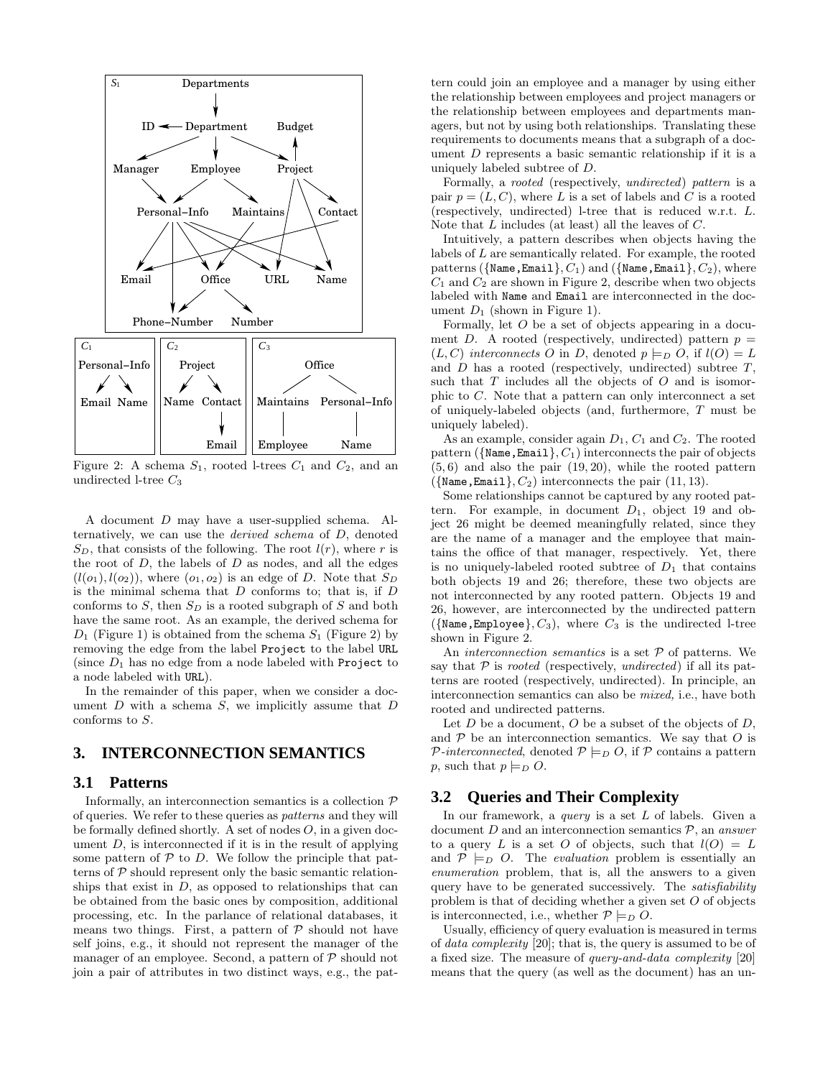

Figure 2: A schema  $S_1$ , rooted l-trees  $C_1$  and  $C_2$ , and an undirected l-tree  $C_3$ 

A document D may have a user-supplied schema. Alternatively, we can use the derived schema of D, denoted  $S_D$ , that consists of the following. The root  $l(r)$ , where r is the root of  $D$ , the labels of  $D$  as nodes, and all the edges  $(l(o_1), l(o_2))$ , where  $(o_1, o_2)$  is an edge of D. Note that  $S_D$ is the minimal schema that  $D$  conforms to; that is, if  $D$ conforms to  $S$ , then  $S_D$  is a rooted subgraph of  $S$  and both have the same root. As an example, the derived schema for  $D_1$  (Figure 1) is obtained from the schema  $S_1$  (Figure 2) by removing the edge from the label Project to the label URL (since  $D_1$  has no edge from a node labeled with Project to a node labeled with URL).

In the remainder of this paper, when we consider a document  $D$  with a schema  $S$ , we implicitly assume that  $D$ conforms to S.

## **3. INTERCONNECTION SEMANTICS**

## **3.1 Patterns**

Informally, an interconnection semantics is a collection  $P$ of queries. We refer to these queries as patterns and they will be formally defined shortly. A set of nodes  $O$ , in a given document  $D$ , is interconnected if it is in the result of applying some pattern of  $P$  to  $D$ . We follow the principle that patterns of  $P$  should represent only the basic semantic relationships that exist in  $D$ , as opposed to relationships that can be obtained from the basic ones by composition, additional processing, etc. In the parlance of relational databases, it means two things. First, a pattern of  $P$  should not have self joins, e.g., it should not represent the manager of the manager of an employee. Second, a pattern of  $P$  should not join a pair of attributes in two distinct ways, e.g., the pattern could join an employee and a manager by using either the relationship between employees and project managers or the relationship between employees and departments managers, but not by using both relationships. Translating these requirements to documents means that a subgraph of a document D represents a basic semantic relationship if it is a uniquely labeled subtree of D.

Formally, a rooted (respectively, undirected) pattern is a pair  $p = (L, C)$ , where L is a set of labels and C is a rooted (respectively, undirected) l-tree that is reduced w.r.t. L. Note that  $L$  includes (at least) all the leaves of  $C$ .

Intuitively, a pattern describes when objects having the labels of L are semantically related. For example, the rooted patterns  $({$  {Name, Email},  $C_1)$  and  $({$  {Name, Email},  $C_2)$ , where  $C_1$  and  $C_2$  are shown in Figure 2, describe when two objects labeled with Name and Email are interconnected in the document  $D_1$  (shown in Figure 1).

Formally, let O be a set of objects appearing in a document D. A rooted (respectively, undirected) pattern  $p =$  $(L, C)$  interconnects O in D, denoted  $p \models_D O$ , if  $l(O) = L$ and  $D$  has a rooted (respectively, undirected) subtree  $T$ , such that  $T$  includes all the objects of  $O$  and is isomorphic to C. Note that a pattern can only interconnect a set of uniquely-labeled objects (and, furthermore, T must be uniquely labeled).

As an example, consider again  $D_1$ ,  $C_1$  and  $C_2$ . The rooted pattern ( $\{\texttt{Name}, \texttt{Email}\}, C_1$ ) interconnects the pair of objects  $(5, 6)$  and also the pair  $(19, 20)$ , while the rooted pattern  $({$ Name, Email $}, C_2)$  interconnects the pair  $(11, 13)$ .

Some relationships cannot be captured by any rooted pattern. For example, in document  $D_1$ , object 19 and object 26 might be deemed meaningfully related, since they are the name of a manager and the employee that maintains the office of that manager, respectively. Yet, there is no uniquely-labeled rooted subtree of  $D_1$  that contains both objects 19 and 26; therefore, these two objects are not interconnected by any rooted pattern. Objects 19 and 26, however, are interconnected by the undirected pattern ({Name, Employee},  $C_3$ ), where  $C_3$  is the undirected l-tree shown in Figure 2.

An *interconnection semantics* is a set  $P$  of patterns. We say that  $P$  is *rooted* (respectively, *undirected*) if all its patterns are rooted (respectively, undirected). In principle, an interconnection semantics can also be mixed, i.e., have both rooted and undirected patterns.

Let  $D$  be a document,  $O$  be a subset of the objects of  $D$ , and  $P$  be an interconnection semantics. We say that  $O$  is P-interconnected, denoted  $P \models_D O$ , if P contains a pattern p, such that  $p \models_D O$ .

## **3.2 Queries and Their Complexity**

In our framework, a *query* is a set  $L$  of labels. Given a document  $D$  and an interconnection semantics  $P$ , an answer to a query L is a set O of objects, such that  $l(O) = L$ and  $P \models_D O$ . The *evaluation* problem is essentially an enumeration problem, that is, all the answers to a given query have to be generated successively. The satisfiability problem is that of deciding whether a given set O of objects is interconnected, i.e., whether  $\mathcal{P} \models_D O$ .

Usually, efficiency of query evaluation is measured in terms of data complexity [20]; that is, the query is assumed to be of a fixed size. The measure of query-and-data complexity [20] means that the query (as well as the document) has an un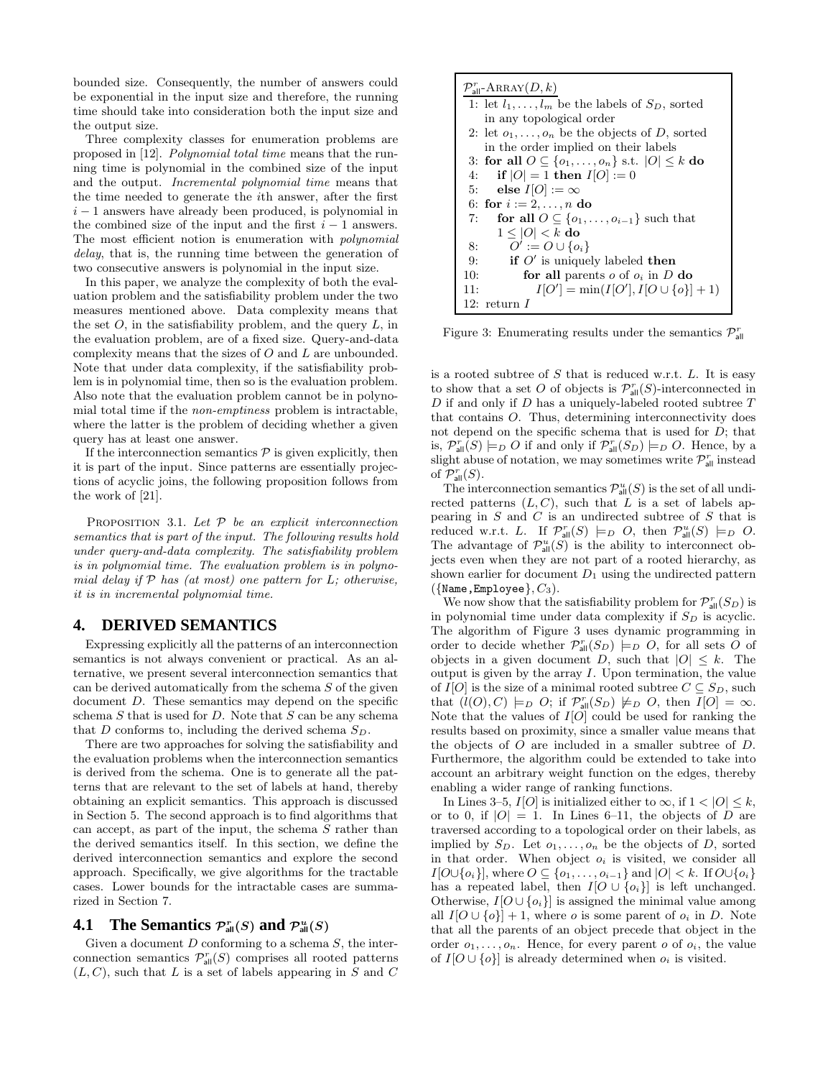bounded size. Consequently, the number of answers could be exponential in the input size and therefore, the running time should take into consideration both the input size and the output size.

Three complexity classes for enumeration problems are proposed in [12]. Polynomial total time means that the running time is polynomial in the combined size of the input and the output. Incremental polynomial time means that the time needed to generate the ith answer, after the first  $i - 1$  answers have already been produced, is polynomial in the combined size of the input and the first  $i - 1$  answers. The most efficient notion is enumeration with polynomial delay, that is, the running time between the generation of two consecutive answers is polynomial in the input size.

In this paper, we analyze the complexity of both the evaluation problem and the satisfiability problem under the two measures mentioned above. Data complexity means that the set  $O$ , in the satisfiability problem, and the query  $L$ , in the evaluation problem, are of a fixed size. Query-and-data complexity means that the sizes of  $O$  and  $L$  are unbounded. Note that under data complexity, if the satisfiability problem is in polynomial time, then so is the evaluation problem. Also note that the evaluation problem cannot be in polynomial total time if the non-emptiness problem is intractable, where the latter is the problem of deciding whether a given query has at least one answer.

If the interconnection semantics  $P$  is given explicitly, then it is part of the input. Since patterns are essentially projections of acyclic joins, the following proposition follows from the work of [21].

PROPOSITION 3.1. Let  $P$  be an explicit interconnection semantics that is part of the input. The following results hold under query-and-data complexity. The satisfiability problem is in polynomial time. The evaluation problem is in polynomial delay if  $P$  has (at most) one pattern for  $L$ ; otherwise, it is in incremental polynomial time.

#### **4. DERIVED SEMANTICS**

Expressing explicitly all the patterns of an interconnection semantics is not always convenient or practical. As an alternative, we present several interconnection semantics that can be derived automatically from the schema S of the given document D. These semantics may depend on the specific schema  $S$  that is used for  $D$ . Note that  $S$  can be any schema that D conforms to, including the derived schema  $S_D$ .

There are two approaches for solving the satisfiability and the evaluation problems when the interconnection semantics is derived from the schema. One is to generate all the patterns that are relevant to the set of labels at hand, thereby obtaining an explicit semantics. This approach is discussed in Section 5. The second approach is to find algorithms that can accept, as part of the input, the schema S rather than the derived semantics itself. In this section, we define the derived interconnection semantics and explore the second approach. Specifically, we give algorithms for the tractable cases. Lower bounds for the intractable cases are summarized in Section 7.

# **4.1** The Semantics  $\mathcal{P}_{all}^r(S)$  and  $\mathcal{P}_{all}^u(S)$

Given a document  $D$  conforming to a schema  $S$ , the interconnection semantics  $\mathcal{P}_{all}^r(S)$  comprises all rooted patterns  $(L, C)$ , such that L is a set of labels appearing in S and C

$$
\frac{\mathcal{P}_{\text{all}}^r - \text{ARRAY}(D, k)}{1: \text{ let } l_1, \ldots, l_m \text{ be the labels of } S_D, \text{ sorted} }
$$
\nin any topological order  
\n2: let  $o_1, \ldots, o_n$  be the objects of *D*, sorted  
\nin the order implied on their labels  
\n3: **for all**  $O \subseteq \{o_1, \ldots, o_n\}$  s.t.  $|O| \leq k$  **do**  
\n4: **if**  $|O| = 1$  **then**  $I[O] := 0$   
\n5: **else**  $I[O] := \infty$   
\n6: **for**  $i = 2, \ldots, n$  **do**  
\n7: **for all**  $O \subseteq \{o_1, \ldots, o_{i-1}\}$  such that  
\n $1 \leq |O| < k$  **do**  
\n8:  $O' := O \cup \{o_i\}$   
\n9: **if**  $O'$  is uniquely labeled **then**  
\n10: **for all parents**  $o$  of  $o_i$  in *D* **do**  
\n11:  $I[O'] = \min(I[O'], I[O \cup \{o\}] + 1)$   
\n12: return *I*

Figure 3: Enumerating results under the semantics  $\mathcal{P}_{all}^r$ 

is a rooted subtree of  $S$  that is reduced w.r.t.  $L$ . It is easy to show that a set O of objects is  $\mathcal{P}_{all}^{r}(S)$ -interconnected in  $D$  if and only if  $D$  has a uniquely-labeled rooted subtree  $T$ that contains O. Thus, determining interconnectivity does not depend on the specific schema that is used for D; that is,  $\mathcal{P}_{\text{all}}^r(S) \models_D O$  if and only if  $\mathcal{P}_{\text{all}}^r(S_D) \models_D O$ . Hence, by a slight abuse of notation, we may sometimes write  $\mathcal{P}_{all}^r$  instead of  $\mathcal{P}_{\text{all}}^r(S)$ .

The interconnection semantics  $\mathcal{P}_{all}^u(S)$  is the set of all undirected patterns  $(L, C)$ , such that L is a set of labels appearing in  $S$  and  $C$  is an undirected subtree of  $S$  that is reduced w.r.t. L. If  $\mathcal{P}_{all}^r(S) \models_D O$ , then  $\mathcal{P}_{all}^u(S) \models_D O$ . The advantage of  $\mathcal{P}_{all}^{u}(S)$  is the ability to interconnect objects even when they are not part of a rooted hierarchy, as shown earlier for document  $D_1$  using the undirected pattern  $({$ {Name,Employee}, $C_3$ ).

We now show that the satisfiability problem for  $\mathcal{P}_{all}^{r}(S_D)$  is in polynomial time under data complexity if  $S_D$  is acyclic. The algorithm of Figure 3 uses dynamic programming in order to decide whether  $\mathcal{P}_{all}^r(S_D) \models_D O$ , for all sets O of objects in a given document D, such that  $|O| \leq k$ . The output is given by the array  $I$ . Upon termination, the value of  $I[O]$  is the size of a minimal rooted subtree  $C \subseteq S_D$ , such that  $(l(O), C) \models_D O;$  if  $\mathcal{P}_{\text{all}}^r(S_D) \not\models_D O,$  then  $I[O] = \infty$ . Note that the values of  $I[O]$  could be used for ranking the results based on proximity, since a smaller value means that the objects of O are included in a smaller subtree of D. Furthermore, the algorithm could be extended to take into account an arbitrary weight function on the edges, thereby enabling a wider range of ranking functions.

In Lines 3–5,  $I[O]$  is initialized either to  $\infty$ , if  $1 < |O| \leq k$ , or to 0, if  $|O| = 1$ . In Lines 6–11, the objects of D are traversed according to a topological order on their labels, as implied by  $S_D$ . Let  $o_1, \ldots, o_n$  be the objects of D, sorted in that order. When object  $o_i$  is visited, we consider all  $I[O\cup\{o_i\}],$  where  $O\subseteq\{o_1,\ldots,o_{i-1}\}$  and  $|O|< k$ . If  $O\cup\{o_i\}$ has a repeated label, then  $I[O \cup \{o_i\}]$  is left unchanged. Otherwise,  $I[O \cup \{o_i\}]$  is assigned the minimal value among all  $I[O \cup \{o\}] + 1$ , where o is some parent of  $o_i$  in D. Note that all the parents of an object precede that object in the order  $o_1, \ldots, o_n$ . Hence, for every parent o of  $o_i$ , the value of  $I[O\cup \{o\}]$  is already determined when  $o_i$  is visited.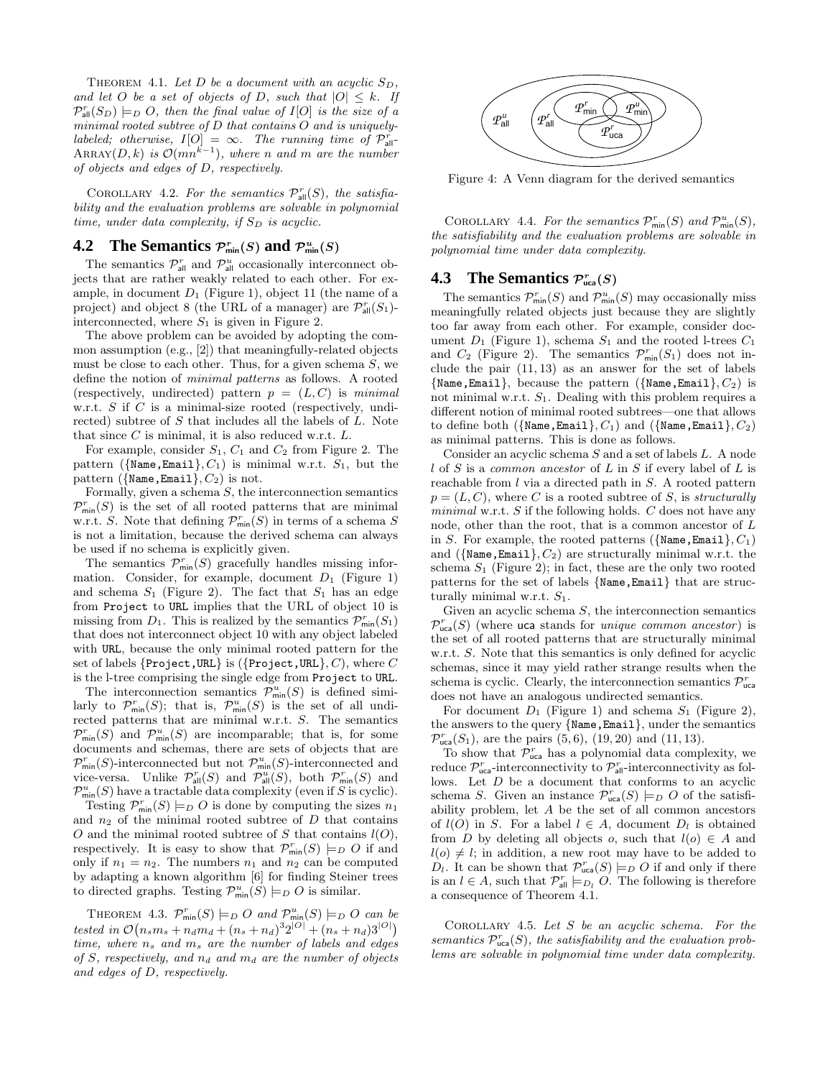THEOREM 4.1. Let  $D$  be a document with an acyclic  $S_D$ , and let O be a set of objects of D, such that  $|O| \leq k$ . If  $\mathcal{P}_{\text{all}}^{r}(S_D) \models_D O$ , then the final value of  $I[O]$  is the size of a minimal rooted subtree of D that contains O and is uniquelylabeled; otherwise,  $I[O] = \infty$ . The running time of  $\mathcal{P}_{all}^r$  $\text{ARRAY}(D, k)$  is  $\mathcal{O}(mn^{k-1})$ , where n and m are the number of objects and edges of D, respectively.

COROLLARY 4.2. For the semantics  $\mathcal{P}_{all}^r(S)$ , the satisfiability and the evaluation problems are solvable in polynomial time, under data complexity, if  $S_D$  is acyclic.

# **4.2** The Semantics  $\mathcal{P}_{\min}^r(S)$  and  $\mathcal{P}_{\min}^u(S)$

The semantics  $\mathcal{P}_{all}^r$  and  $\mathcal{P}_{all}^u$  occasionally interconnect objects that are rather weakly related to each other. For example, in document  $D_1$  (Figure 1), object 11 (the name of a project) and object 8 (the URL of a manager) are  $\mathcal{P}_{all}^{r}(S_1)$ interconnected, where  $S_1$  is given in Figure 2.

The above problem can be avoided by adopting the common assumption (e.g., [2]) that meaningfully-related objects must be close to each other. Thus, for a given schema  $S$ , we define the notion of minimal patterns as follows. A rooted (respectively, undirected) pattern  $p = (L, C)$  is minimal w.r.t. S if C is a minimal-size rooted (respectively, undirected) subtree of S that includes all the labels of L. Note that since  $C$  is minimal, it is also reduced w.r.t.  $L$ .

For example, consider  $S_1$ ,  $C_1$  and  $C_2$  from Figure 2. The pattern  $({$  [Name, Email},  $C_1$ ) is minimal w.r.t.  $S_1$ , but the pattern  $(\{\mathtt{Name}, \mathtt{Email}\}, C_2)$  is not.

Formally, given a schema  $S$ , the interconnection semantics  $\mathcal{P}_{\min}^r(S)$  is the set of all rooted patterns that are minimal w.r.t. S. Note that defining  $\mathcal{P}_{\min}^r(S)$  in terms of a schema S is not a limitation, because the derived schema can always be used if no schema is explicitly given.

The semantics  $\mathcal{P}_{\min}^r(S)$  gracefully handles missing information. Consider, for example, document  $D_1$  (Figure 1) and schema  $S_1$  (Figure 2). The fact that  $S_1$  has an edge from Project to URL implies that the URL of object 10 is missing from  $D_1$ . This is realized by the semantics  $\mathcal{P}_{\min}^r(S_1)$ that does not interconnect object 10 with any object labeled with URL, because the only minimal rooted pattern for the set of labels  $\{Project, URL\}$  is  $(\{Project, URL\}, C)$ , where C is the l-tree comprising the single edge from Project to URL.

The interconnection semantics  $\mathcal{P}_{\min}^u(S)$  is defined similarly to  $\mathcal{P}_{\min}^r(S)$ ; that is,  $\mathcal{P}_{\min}^u(S)$  is the set of all undirected patterns that are minimal w.r.t. S. The semantics  $\mathcal{P}_{\min}^r(S)$  and  $\mathcal{P}_{\min}^u(S)$  are incomparable; that is, for some documents and schemas, there are sets of objects that are  $\mathcal{P}_{\min}^r(S)$ -interconnected but not  $\mathcal{P}_{\min}^u(S)$ -interconnected and vice-versa. Unlike  $\mathcal{P}_{\text{all}}^r(S)$  and  $\mathcal{P}_{\text{all}}^u(S)$ , both  $\mathcal{P}_{\text{min}}^r(S)$  and  $\mathcal{P}_{\min}^u(S)$  have a tractable data complexity (even if S is cyclic).

Testing  $\mathcal{P}_{\min}^r(S) \models_D O$  is done by computing the sizes  $n_1$ and  $n_2$  of the minimal rooted subtree of  $D$  that contains O and the minimal rooted subtree of S that contains  $l(O)$ , respectively. It is easy to show that  $\mathcal{P}_{\min}^r(S) \models_D O$  if and only if  $n_1 = n_2$ . The numbers  $n_1$  and  $n_2$  can be computed by adapting a known algorithm [6] for finding Steiner trees to directed graphs. Testing  $\mathcal{P}_{\min}^u(S) \models_D O$  is similar.

THEOREM 4.3.  $\mathcal{P}_{\min}^r(S) \models_D O$  and  $\mathcal{P}_{\min}^u(S) \models_D O$  can be tested in  $\mathcal{O}(n_s m_s + n_d m_d + (n_s + n_d)^3 2^{|O|} + (n_s + n_d) 3^{|O|})$ time, where  $n_s$  and  $m_s$  are the number of labels and edges of S, respectively, and  $n_d$  and  $m_d$  are the number of objects and edges of D, respectively.



Figure 4: A Venn diagram for the derived semantics

COROLLARY 4.4. For the semantics  $\mathcal{P}_{\min}^r(S)$  and  $\mathcal{P}_{\min}^u(S)$ , the satisfiability and the evaluation problems are solvable in polynomial time under data complexity.

# **4.3** The Semantics  $\mathcal{P}^r_{\text{uca}}(S)$

The semantics  $\mathcal{P}_{\min}^r(S)$  and  $\mathcal{P}_{\min}^u(S)$  may occasionally miss meaningfully related objects just because they are slightly too far away from each other. For example, consider document  $D_1$  (Figure 1), schema  $S_1$  and the rooted l-trees  $C_1$ and  $C_2$  (Figure 2). The semantics  $\mathcal{P}_{\min}^r(S_1)$  does not include the pair  $(11, 13)$  as an answer for the set of labels {Name, Email}, because the pattern ({Name, Email},  $C_2$ ) is not minimal w.r.t.  $S_1$ . Dealing with this problem requires a different notion of minimal rooted subtrees—one that allows to define both  $({\mathtt{Name}, \mathtt{Email}}, C_1)$  and  $({\mathtt{Name}, \mathtt{Email}}, C_2)$ as minimal patterns. This is done as follows.

Consider an acyclic schema  $S$  and a set of labels  $L$ . A node  $l$  of S is a common ancestor of L in S if every label of L is reachable from l via a directed path in S. A rooted pattern  $p = (L, C)$ , where C is a rooted subtree of S, is structurally  $minimal$  w.r.t.  $S$  if the following holds.  $C$  does not have any node, other than the root, that is a common ancestor of L in S. For example, the rooted patterns ( $\{\texttt{Name}, \texttt{Email}\}, C_1)$ and  $({\text{Name}, \text{Email}}, C_2)$  are structurally minimal w.r.t. the schema  $S_1$  (Figure 2); in fact, these are the only two rooted patterns for the set of labels {Name,Email} that are structurally minimal w.r.t.  $S_1$ .

Given an acyclic schema  $S$ , the interconnection semantics  $\mathcal{P}^r_{\text{uca}}(S)$  (where uca stands for *unique common ancestor*) is the set of all rooted patterns that are structurally minimal w.r.t. S. Note that this semantics is only defined for acyclic schemas, since it may yield rather strange results when the schema is cyclic. Clearly, the interconnection semantics  $\mathcal{P}_{\text{uca}}^r$ does not have an analogous undirected semantics.

For document  $D_1$  (Figure 1) and schema  $S_1$  (Figure 2), the answers to the query {Name,Email}, under the semantics  $\mathcal{P}^r_{\text{uca}}(S_1)$ , are the pairs  $(5,6)$ ,  $(19,20)$  and  $(11,13)$ .

To show that  $\mathcal{P}_{\text{uca}}^r$  has a polynomial data complexity, we reduce  $\mathcal{P}_{\text{uca}}^r$ -interconnectivity to  $\mathcal{P}_{\text{all}}^r$ -interconnectivity as follows. Let D be a document that conforms to an acyclic schema S. Given an instance  $\mathcal{P}^r_{\text{uca}}(S) \models_D O$  of the satisfiability problem, let A be the set of all common ancestors of  $l(O)$  in S. For a label  $l \in A$ , document  $D_l$  is obtained from D by deleting all objects o, such that  $l(o) \in A$  and  $l(o) \neq l$ ; in addition, a new root may have to be added to  $D_l$ . It can be shown that  $\mathcal{P}^r_{\text{uca}}(S) \models_D O$  if and only if there is an  $l \in A$ , such that  $\mathcal{P}_{all}^r \models_{D_l} O$ . The following is therefore a consequence of Theorem 4.1.

 $COROLLARY$  4.5. Let  $S$  be an acyclic schema. For the semantics  $\mathcal{P}_{\text{uca}}^r(S)$ , the satisfiability and the evaluation problems are solvable in polynomial time under data complexity.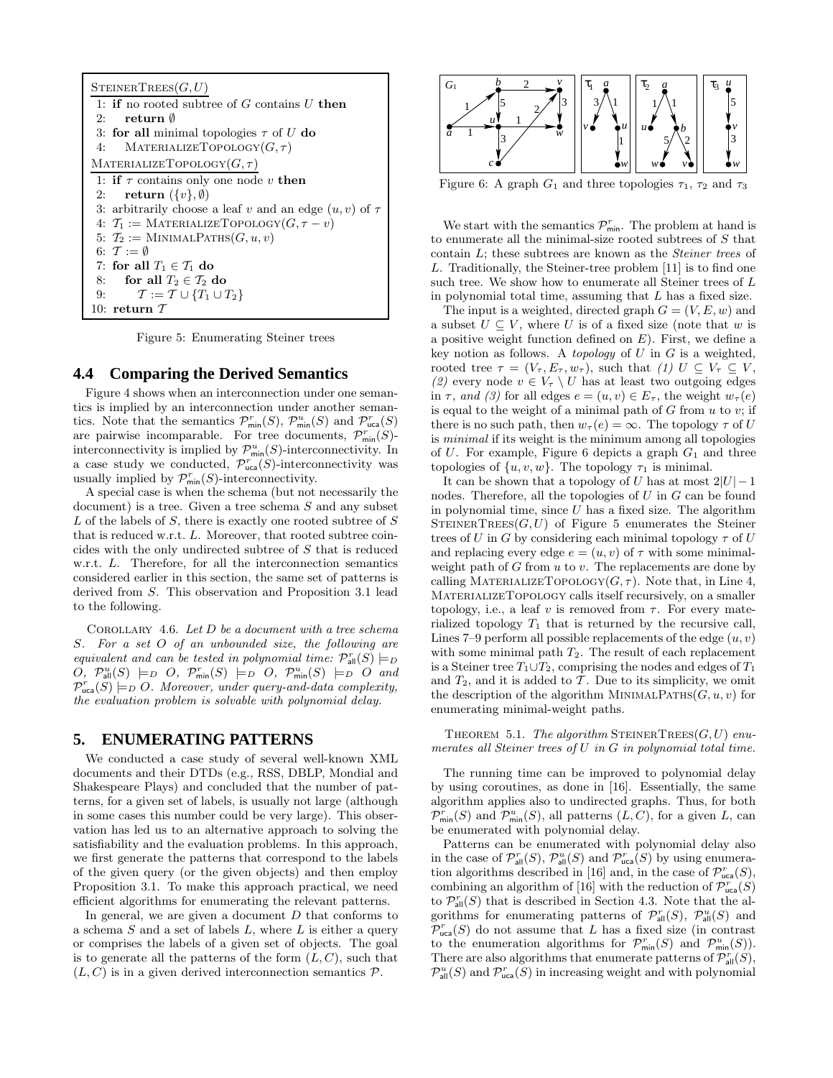```
STEINERTREES(G, U)1: if no rooted subtree of G contains U then
2: return ∅
3: for all minimal topologies \tau of U do
4: MATERIALIZETOPOLOGY(G, \tau)MATERIALIZETOPOLOGY(G, \tau)1: if \tau contains only one node v then
2: return ({v}, \emptyset)3: arbitrarily choose a leaf v and an edge (u, v) of \tau4: \mathcal{T}_1 := \text{MATERIALIZEToPOLOGY}(G, \tau - v)5: \mathcal{T}_2 := \text{MINIMALPATHs}(G, u, v)6: \mathcal{T} := \emptyset7: for all T_1 \in \mathcal{T}_1 do
8: for all T_2 \in T_2 do
9: \mathcal{T} := \mathcal{T} \cup \{T_1 \cup T_2\}10: return T
```
Figure 5: Enumerating Steiner trees

#### **4.4 Comparing the Derived Semantics**

Figure 4 shows when an interconnection under one semantics is implied by an interconnection under another semantics. Note that the semantics  $\mathcal{P}_{\min}^r(S)$ ,  $\mathcal{P}_{\min}^u(S)$  and  $\mathcal{P}_{\text{uca}}^r(S)$ are pairwise incomparable. For tree documents,  $\mathcal{P}_{\min}^r(S)$ interconnectivity is implied by  $\mathcal{P}_{\min}^u(S)$ -interconnectivity. In a case study we conducted,  $\mathcal{P}^r_{\text{uca}}(S)$ -interconnectivity was usually implied by  $\mathcal{P}_{\min}^r(S)$ -interconnectivity.

A special case is when the schema (but not necessarily the document) is a tree. Given a tree schema S and any subset L of the labels of S, there is exactly one rooted subtree of S that is reduced w.r.t. L. Moreover, that rooted subtree coincides with the only undirected subtree of S that is reduced w.r.t. L. Therefore, for all the interconnection semantics considered earlier in this section, the same set of patterns is derived from S. This observation and Proposition 3.1 lead to the following.

Corollary 4.6. Let D be a document with a tree schema S. For a set O of an unbounded size, the following are equivalent and can be tested in polynomial time:  $\mathcal{P}_{\text{all}}^r(S) \models_D$ O,  $\mathcal{P}_{all}^u(S) \models_D O$ ,  $\mathcal{P}_{min}^r(S) \models_D O$ ,  $\mathcal{P}_{min}^u(S) \models_D O$  and  $\mathcal{P}^r_{\text{uca}}(S) \models_D O$ . Moreover, under query-and-data complexity, the evaluation problem is solvable with polynomial delay.

#### **5. ENUMERATING PATTERNS**

We conducted a case study of several well-known XML documents and their DTDs (e.g., RSS, DBLP, Mondial and Shakespeare Plays) and concluded that the number of patterns, for a given set of labels, is usually not large (although in some cases this number could be very large). This observation has led us to an alternative approach to solving the satisfiability and the evaluation problems. In this approach, we first generate the patterns that correspond to the labels of the given query (or the given objects) and then employ Proposition 3.1. To make this approach practical, we need efficient algorithms for enumerating the relevant patterns.

In general, we are given a document  $D$  that conforms to a schema  $S$  and a set of labels  $L$ , where  $L$  is either a query or comprises the labels of a given set of objects. The goal is to generate all the patterns of the form  $(L, C)$ , such that  $(L, C)$  is in a given derived interconnection semantics  $P$ .



Figure 6: A graph  $G_1$  and three topologies  $\tau_1$ ,  $\tau_2$  and  $\tau_3$ 

We start with the semantics  $\mathcal{P}_{\min}^r$ . The problem at hand is to enumerate all the minimal-size rooted subtrees of S that contain L; these subtrees are known as the Steiner trees of L. Traditionally, the Steiner-tree problem [11] is to find one such tree. We show how to enumerate all Steiner trees of  $L$ in polynomial total time, assuming that  $L$  has a fixed size.

The input is a weighted, directed graph  $G = (V, E, w)$  and a subset  $U \subseteq V$ , where U is of a fixed size (note that w is a positive weight function defined on  $E$ ). First, we define a key notion as follows. A *topology* of  $U$  in  $G$  is a weighted, rooted tree  $\tau = (V_\tau, E_\tau, w_\tau)$ , such that  $(1)$   $U \subseteq V_\tau \subseteq V$ , (2) every node  $v \in V_{\tau} \setminus U$  has at least two outgoing edges in  $\tau$ , and (3) for all edges  $e = (u, v) \in E_{\tau}$ , the weight  $w_{\tau}(e)$ is equal to the weight of a minimal path of  $G$  from  $u$  to  $v$ ; if there is no such path, then  $w_{\tau}(e) = \infty$ . The topology  $\tau$  of U is minimal if its weight is the minimum among all topologies of U. For example, Figure 6 depicts a graph  $G_1$  and three topologies of  $\{u, v, w\}$ . The topology  $\tau_1$  is minimal.

It can be shown that a topology of U has at most  $2|U| - 1$ nodes. Therefore, all the topologies of  $U$  in  $G$  can be found in polynomial time, since  $U$  has a fixed size. The algorithm  $STEINERTREES(G, U)$  of Figure 5 enumerates the Steiner trees of U in G by considering each minimal topology  $\tau$  of U and replacing every edge  $e = (u, v)$  of  $\tau$  with some minimalweight path of  $G$  from  $u$  to  $v$ . The replacements are done by calling MATERIALIZETOPOLOGY $(G, \tau)$ . Note that, in Line 4, MATERIALIZETOPOLOGY calls itself recursively, on a smaller topology, i.e., a leaf v is removed from  $\tau$ . For every materialized topology  $T_1$  that is returned by the recursive call, Lines 7–9 perform all possible replacements of the edge  $(u, v)$ with some minimal path  $T_2$ . The result of each replacement is a Steiner tree  $T_1 \cup T_2$ , comprising the nodes and edges of  $T_1$ and  $T_2$ , and it is added to  $\overline{T}$ . Due to its simplicity, we omit the description of the algorithm MINIMALPATHS $(G, u, v)$  for enumerating minimal-weight paths.

THEOREM 5.1. The algorithm STEINERTREES $(G, U)$  enumerates all Steiner trees of U in G in polynomial total time.

The running time can be improved to polynomial delay by using coroutines, as done in [16]. Essentially, the same algorithm applies also to undirected graphs. Thus, for both  $\mathcal{P}_{\min}^r(S)$  and  $\mathcal{P}_{\min}^u(S)$ , all patterns  $(L, C)$ , for a given L, can be enumerated with polynomial delay.

Patterns can be enumerated with polynomial delay also in the case of  $\mathcal{P}_{\text{all}}^r(S)$ ,  $\mathcal{P}_{\text{all}}^u(S)$  and  $\mathcal{P}_{\text{uca}}^r(S)$  by using enumeration algorithms described in [16] and, in the case of  $\mathcal{P}^r_{\text{uca}}(S)$ , combining an algorithm of [16] with the reduction of  $\mathcal{P}^r_{\text{uca}}(S)$ to  $\mathcal{P}_{all}^r(S)$  that is described in Section 4.3. Note that the algorithms for enumerating patterns of  $\mathcal{P}_{all}^r(S)$ ,  $\mathcal{P}_{all}^u(S)$  and  $\mathcal{P}^r_{\text{uca}}(S)$  do not assume that L has a fixed size (in contrast to the enumeration algorithms for  $\mathcal{P}_{\min}^r(S)$  and  $\mathcal{P}_{\min}^u(S)$ . There are also algorithms that enumerate patterns of  $\mathcal{P}_{all}^r(S)$ ,  $\mathcal{P}^u_{\text{all}}(S)$  and  $\mathcal{P}^r_{\text{uca}}(S)$  in increasing weight and with polynomial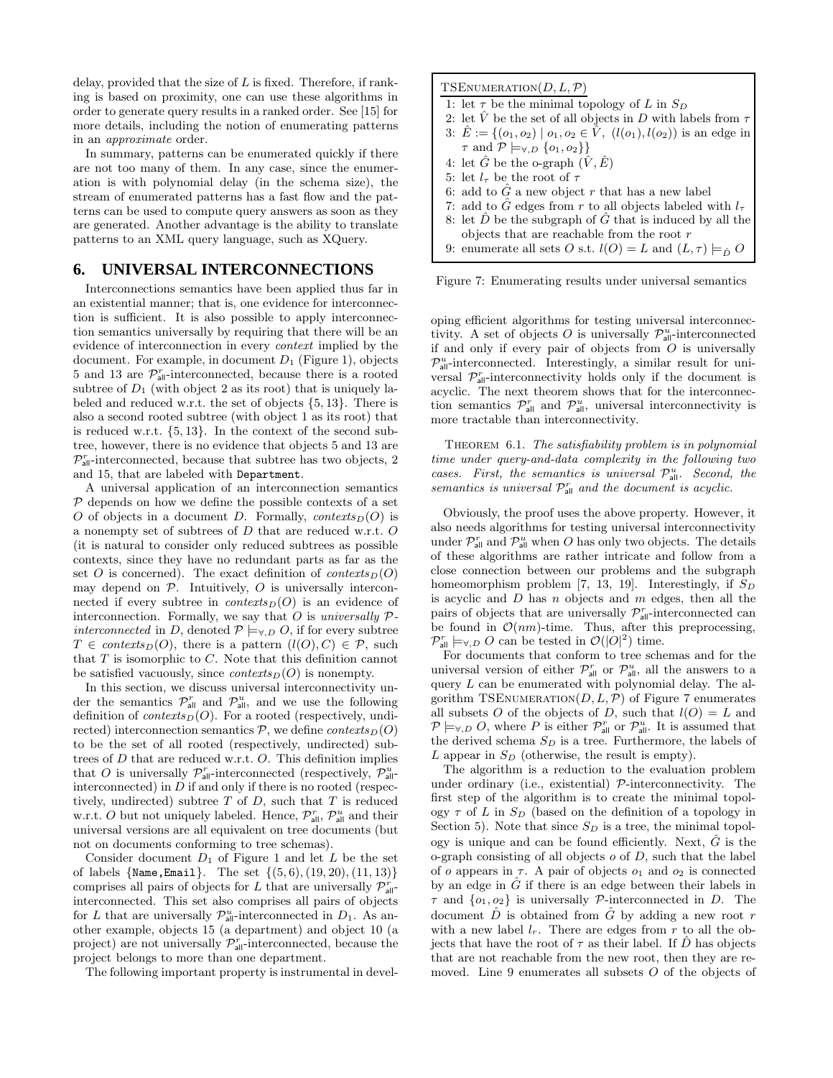delay, provided that the size of  $L$  is fixed. Therefore, if ranking is based on proximity, one can use these algorithms in order to generate query results in a ranked order. See [15] for more details, including the notion of enumerating patterns in an approximate order.

In summary, patterns can be enumerated quickly if there are not too many of them. In any case, since the enumeration is with polynomial delay (in the schema size), the stream of enumerated patterns has a fast flow and the patterns can be used to compute query answers as soon as they are generated. Another advantage is the ability to translate patterns to an XML query language, such as XQuery.

## **6. UNIVERSAL INTERCONNECTIONS**

Interconnections semantics have been applied thus far in an existential manner; that is, one evidence for interconnection is sufficient. It is also possible to apply interconnection semantics universally by requiring that there will be an evidence of interconnection in every context implied by the document. For example, in document  $D_1$  (Figure 1), objects 5 and 13 are  $\mathcal{P}_{all}^{r}$ -interconnected, because there is a rooted subtree of  $D_1$  (with object 2 as its root) that is uniquely labeled and reduced w.r.t. the set of objects {5, 13}. There is also a second rooted subtree (with object 1 as its root) that is reduced w.r.t. {5, 13}. In the context of the second subtree, however, there is no evidence that objects 5 and 13 are  $\mathcal{P}_{all}^{r}$ -interconnected, because that subtree has two objects, 2 and 15, that are labeled with Department.

A universal application of an interconnection semantics  $P$  depends on how we define the possible contexts of a set O of objects in a document D. Formally, contexts $_D(O)$  is a nonempty set of subtrees of D that are reduced w.r.t. O (it is natural to consider only reduced subtrees as possible contexts, since they have no redundant parts as far as the set O is concerned). The exact definition of contexts $_D(O)$ may depend on  $P$ . Intuitively,  $O$  is universally interconnected if every subtree in *contexts* $_D(O)$  is an evidence of interconnection. Formally, we say that  $O$  is universally  $P$ interconnected in D, denoted  $\mathcal{P} \models_{\forall D} O$ , if for every subtree  $T \in \text{contexts}_D(O)$ , there is a pattern  $(l(O), C) \in \mathcal{P}$ , such that  $T$  is isomorphic to  $C$ . Note that this definition cannot be satisfied vacuously, since  $contexts_D(O)$  is nonempty.

In this section, we discuss universal interconnectivity under the semantics  $\mathcal{P}_{all}^r$  and  $\mathcal{P}_{all}^u$ , and we use the following definition of  $contexts_D(O)$ . For a rooted (respectively, undirected) interconnection semantics  $P$ , we define *contexts* $_D(O)$ to be the set of all rooted (respectively, undirected) subtrees of D that are reduced w.r.t. O. This definition implies that O is universally  $\mathcal{P}_{all}^r$ -interconnected (respectively,  $\mathcal{P}_{all}^u$ interconnected) in  $D$  if and only if there is no rooted (respectively, undirected) subtree  $T$  of  $D$ , such that  $T$  is reduced w.r.t. O but not uniquely labeled. Hence,  $\mathcal{P}_{all}^r$ ,  $\mathcal{P}_{all}^u$  and their universal versions are all equivalent on tree documents (but not on documents conforming to tree schemas).

Consider document  $D_1$  of Figure 1 and let  $L$  be the set of labels  $\{\text{Name}, \text{Email}\}.$  The set  $\{(5, 6), (19, 20), (11, 13)\}$ comprises all pairs of objects for L that are universally  $\mathcal{P}_{all}^r$ interconnected. This set also comprises all pairs of objects for L that are universally  $\mathcal{P}_{all}^u$ -interconnected in  $D_1$ . As another example, objects 15 (a department) and object 10 (a project) are not universally  $\mathcal{P}_{all}^{r}$ -interconnected, because the project belongs to more than one department.

The following important property is instrumental in devel-

TSENUMERATION $(D, L, \mathcal{P})$ 

- 1: let  $\tau$  be the minimal topology of L in  $S_D$
- 2: let  $\hat{V}$  be the set of all objects in D with labels from  $\tau$
- 3:  $\hat{E} := \{ (o_1, o_2) \mid o_1, o_2 \in \hat{V}, (l(o_1), l(o_2)) \text{ is an edge in } \}$  $\tau$  and  $\mathcal{P} \models_{\forall, D} \{o_1, o_2\}$
- 4: let  $\hat{G}$  be the o-graph  $(\hat{V}, \hat{E})$
- 5: let  $l_{\tau}$  be the root of  $\tau$
- 6: add to  $\hat{G}$  a new object r that has a new label
- 7: add to  $\hat{G}$  edges from r to all objects labeled with  $l_{\tau}$
- 8: let  $\hat{D}$  be the subgraph of  $\hat{G}$  that is induced by all the objects that are reachable from the root  $r$ 9: enumerate all sets O s.t.  $l(O) = L$  and  $(L, \tau) \models_{\hat{D}} O$

Figure 7: Enumerating results under universal semantics

oping efficient algorithms for testing universal interconnectivity. A set of objects O is universally  $\mathcal{P}^u_{all}$ -interconnected if and only if every pair of objects from  $O$  is universally  $\mathcal{P}^u_{all}$ -interconnected. Interestingly, a similar result for universal  $\mathcal{P}_{all}^r$ -interconnectivity holds only if the document is acyclic. The next theorem shows that for the interconnection semantics  $\mathcal{P}_{all}^r$  and  $\mathcal{P}_{all}^u$ , universal interconnectivity is more tractable than interconnectivity.

THEOREM 6.1. The satisfiability problem is in polynomial time under query-and-data complexity in the following two cases. First, the semantics is universal  $\mathcal{P}_{all}^u$ . Second, the semantics is universal  $\mathcal{P}_{all}^r$  and the document is acyclic.

Obviously, the proof uses the above property. However, it also needs algorithms for testing universal interconnectivity under  $\mathcal{P}_{all}^r$  and  $\mathcal{P}_{all}^u$  when O has only two objects. The details of these algorithms are rather intricate and follow from a close connection between our problems and the subgraph homeomorphism problem [7, 13, 19]. Interestingly, if  $S_D$ is acyclic and  $D$  has  $n$  objects and  $m$  edges, then all the pairs of objects that are universally  $\mathcal{P}_{all}^r$ -interconnected can be found in  $\mathcal{O}(nm)$ -time. Thus, after this preprocessing,  $\mathcal{P}_{all}^r \models_{\forall, D} O$  can be tested in  $\mathcal{O}(|O|^2)$  time.

For documents that conform to tree schemas and for the universal version of either  $\mathcal{P}_{all}^r$  or  $\mathcal{P}_{all}^u$ , all the answers to a query L can be enumerated with polynomial delay. The algorithm TSENUMERATION $(D, L, \mathcal{P})$  of Figure 7 enumerates all subsets O of the objects of D, such that  $l(O) = L$  and  $\mathcal{P} \models_{\forall, D} O$ , where P is either  $\mathcal{P}_{all}^r$  or  $\mathcal{P}_{all}^u$ . It is assumed that the derived schema  $S_D$  is a tree. Furthermore, the labels of L appear in  $S_D$  (otherwise, the result is empty).

The algorithm is a reduction to the evaluation problem under ordinary (i.e., existential)  $P$ -interconnectivity. The first step of the algorithm is to create the minimal topology  $\tau$  of L in  $S_D$  (based on the definition of a topology in Section 5). Note that since  $S_D$  is a tree, the minimal topology is unique and can be found efficiently. Next,  $\hat{G}$  is the o-graph consisting of all objects  $o$  of  $D$ , such that the label of o appears in  $\tau$ . A pair of objects  $o_1$  and  $o_2$  is connected by an edge in  $\hat{G}$  if there is an edge between their labels in  $\tau$  and  $\{o_1, o_2\}$  is universally P-interconnected in D. The document  $\hat{D}$  is obtained from  $\hat{G}$  by adding a new root r with a new label  $l_r$ . There are edges from r to all the objects that have the root of  $\tau$  as their label. If D has objects that are not reachable from the new root, then they are removed. Line 9 enumerates all subsets O of the objects of